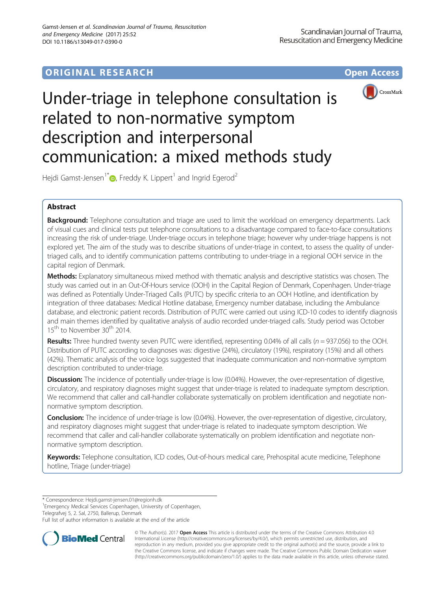# **ORIGINAL RESEARCH CONSUMING ACCESS**



# Under-triage in telephone consultation is related to non-normative symptom description and interpersonal communication: a mixed methods study

Hejdi Gamst-Jensen<sup>1[\\*](http://orcid.org/0000-0002-9537-0551)</sup> $\bullet$ , Freddy K. Lippert<sup>1</sup> and Ingrid Egerod<sup>2</sup>

# Abstract

Background: Telephone consultation and triage are used to limit the workload on emergency departments. Lack of visual cues and clinical tests put telephone consultations to a disadvantage compared to face-to-face consultations increasing the risk of under-triage. Under-triage occurs in telephone triage; however why under-triage happens is not explored yet. The aim of the study was to describe situations of under-triage in context, to assess the quality of undertriaged calls, and to identify communication patterns contributing to under-triage in a regional OOH service in the capital region of Denmark.

Methods: Explanatory simultaneous mixed method with thematic analysis and descriptive statistics was chosen. The study was carried out in an Out-Of-Hours service (OOH) in the Capital Region of Denmark, Copenhagen. Under-triage was defined as Potentially Under-Triaged Calls (PUTC) by specific criteria to an OOH Hotline, and identification by integration of three databases: Medical Hotline database, Emergency number database, including the Ambulance database, and electronic patient records. Distribution of PUTC were carried out using ICD-10 codes to identify diagnosis and main themes identified by qualitative analysis of audio recorded under-triaged calls. Study period was October 15<sup>th</sup> to November 30<sup>th</sup> 2014.

Results: Three hundred twenty seven PUTC were identified, representing 0.04% of all calls ( $n = 937.056$ ) to the OOH. Distribution of PUTC according to diagnoses was: digestive (24%), circulatory (19%), respiratory (15%) and all others (42%). Thematic analysis of the voice logs suggested that inadequate communication and non-normative symptom description contributed to under-triage.

Discussion: The incidence of potentially under-triage is low (0.04%). However, the over-representation of digestive, circulatory, and respiratory diagnoses might suggest that under-triage is related to inadequate symptom description. We recommend that caller and call-handler collaborate systematically on problem identification and negotiate nonnormative symptom description.

**Conclusion:** The incidence of under-triage is low (0.04%). However, the over-representation of digestive, circulatory, and respiratory diagnoses might suggest that under-triage is related to inadequate symptom description. We recommend that caller and call-handler collaborate systematically on problem identification and negotiate nonnormative symptom description.

Keywords: Telephone consultation, ICD codes, Out-of-hours medical care, Prehospital acute medicine, Telephone hotline, Triage (under-triage)

Emergency Medical Services Copenhagen, University of Copenhagen, Telegrafvej 5, 2. Sal, 2750, Ballerup, Denmark

Full list of author information is available at the end of the article



© The Author(s). 2017 Open Access This article is distributed under the terms of the Creative Commons Attribution 4.0 International License [\(http://creativecommons.org/licenses/by/4.0/](http://creativecommons.org/licenses/by/4.0/)), which permits unrestricted use, distribution, and reproduction in any medium, provided you give appropriate credit to the original author(s) and the source, provide a link to the Creative Commons license, and indicate if changes were made. The Creative Commons Public Domain Dedication waiver [\(http://creativecommons.org/publicdomain/zero/1.0/](http://creativecommons.org/publicdomain/zero/1.0/)) applies to the data made available in this article, unless otherwise stated.

<sup>\*</sup> Correspondence: [Hejdi.gamst-jensen.01@regionh.dk](mailto:Hejdi.gamst-jensen.01@regionh.dk) <sup>1</sup>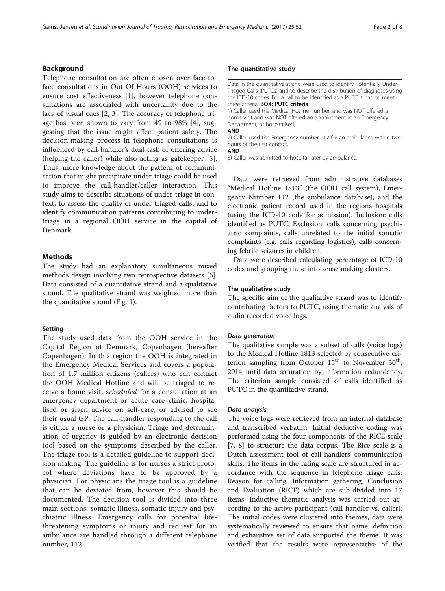# Background

Telephone consultation are often chosen over face-toface consultations in Out Of Hours (OOH) services to ensure cost effectiveness [[1](#page-7-0)], however telephone consultations are associated with uncertainty due to the lack of visual cues [\[2](#page-7-0), [3\]](#page-7-0). The accuracy of telephone triage has been shown to vary from 49 to 98% [\[4](#page-7-0)], suggesting that the issue might affect patient safety. The decision-making process in telephone consultations is influenced by call-handler's dual task of offering advice (helping the caller) while also acting as gatekeeper [\[5](#page-7-0)]. Thus, more knowledge about the pattern of communication that might precipitate under-triage could be used to improve the call-handler/caller interaction. This study aims to describe situations of under-triage in context, to assess the quality of under-triaged calls, and to identify communication patterns contributing to undertriage in a regional OOH service in the capital of Denmark.

# **Methods**

The study had an explanatory simultaneous mixed methods design involving two retrospective datasets [\[6](#page-7-0)]. Data consisted of a quantitative strand and a qualitative strand. The qualitative strand was weighted more than the quantitative strand (Fig. [1\)](#page-2-0).

#### Setting

The study used data from the OOH service in the Capital Region of Denmark, Copenhagen (hereafter Copenhagen). In this region the OOH is integrated in the Emergency Medical Services and covers a population of 1.7 million citizens (callers) who can contact the OOH Medical Hotline and will be triaged to receive a home visit, scheduled for a consultation at an emergency department or acute care clinic, hospitalised or given advice on self-care, or advised to see their usual GP. The call-handler responding to the call is either a nurse or a physician. Triage and determination of urgency is guided by an electronic decision tool based on the symptoms described by the caller. The triage tool is a detailed guideline to support decision making. The guideline is for nurses a strict protocol where deviations have to be approved by a physician. For physicians the triage tool is a guideline that can be deviated from, however this should be documented. The decision tool is divided into three main sections: somatic illness, somatic injury and psychiatric illness. Emergency calls for potential lifethreatening symptoms or injury and request for an ambulance are handled through a different telephone number, 112.

### The quantitative study

| Data in the quantitative strand were used to identify Potentially Under-  |
|---------------------------------------------------------------------------|
| Triaged Calls (PUTCs) and to describe the distribution of diagnoses using |
| the ICD-10 codes. For a call to be identified as a PUTC it had to meet    |
| three criteria: <b>BOX: PUTC criteria</b>                                 |
| 1) Caller used the Medical Hotline number, and was NOT offered a          |
| home visit and was NOT offered an appointment at an Emergency             |
| Department, or hospitalised,                                              |
| <b>AND</b>                                                                |
| 2) Caller used the Emergency number 112 for an ambulance within two       |
| hours of the first contact,                                               |
| <b>AND</b>                                                                |
| 3) Caller was admitted to hospital later by ambulance.                    |
|                                                                           |

Data were retrieved from administrative databases "Medical Hotline 1813" (the OOH call system), Emergency Number 112 (the ambulance database), and the electronic patient record used in the regions hospitals (using the ICD-10 code for admission). Inclusion: calls identified as PUTC. Exclusion: calls concerning psychiatric complaints, calls unrelated to the initial somatic complaints (e.g. calls regarding logistics), calls concerning febrile seizures in children.

Data were described calculating percentage of ICD-10 codes and grouping these into sense making clusters.

#### The qualitative study

The specific aim of the qualitative strand was to identify contributing factors to PUTC, using thematic analysis of audio recorded voice logs.

#### Data generation

The qualitative sample was a subset of calls (voice logs) to the Medical Hotline 1813 selected by consecutive criterion sampling from October  $15<sup>th</sup>$  to November  $30<sup>th</sup>$ , 2014 until data saturation by information redundancy. The criterion sample consisted of calls identified as PUTC in the quantitative strand.

#### Data analysis

The voice logs were retrieved from an internal database and transcribed verbatim. Initial deductive coding was performed using the four components of the RICE scale [[7, 8](#page-7-0)] to structure the data corpus. The Rice scale is a Dutch assessment tool of call-handlers' communication skills. The items in the rating scale are structured in accordance with the sequence in telephone triage calls: Reason for calling, Information gathering, Conclusion and Evaluation (RICE) which are sub-divided into 17 items. Inductive thematic analysis was carried out according to the active participant (call-handler vs. caller). The initial codes were clustered into themes, data were systematically reviewed to ensure that name, definition and exhaustive set of data supported the theme. It was verified that the results were representative of the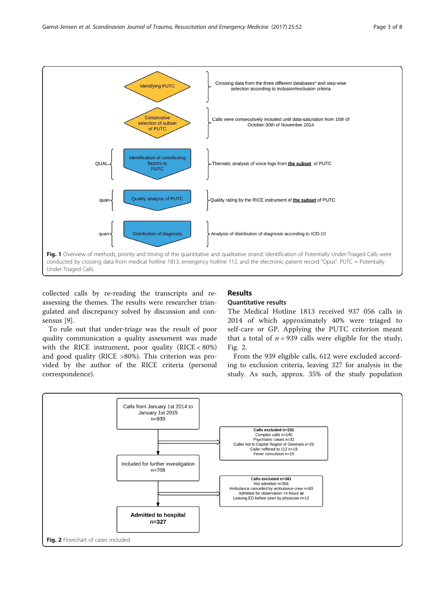<span id="page-2-0"></span>

collected calls by re-reading the transcripts and reassessing the themes. The results were researcher triangulated and discrepancy solved by discussion and consensus [\[9](#page-7-0)].

To rule out that under-triage was the result of poor quality communication a quality assessment was made with the RICE instrument, poor quality (RICE < 80%) and good quality (RICE >80%). This criterion was provided by the author of the RICE criteria (personal correspondence).

# Results

# Quantitative results

The Medical Hotline 1813 received 937 056 calls in 2014 of which approximately 40% were triaged to self-care or GP. Applying the PUTC criterion meant that a total of  $n = 939$  calls were eligible for the study, Fig. 2.

From the 939 eligible calls, 612 were excluded according to exclusion criteria, leaving 327 for analysis in the study. As such, approx. 35% of the study population

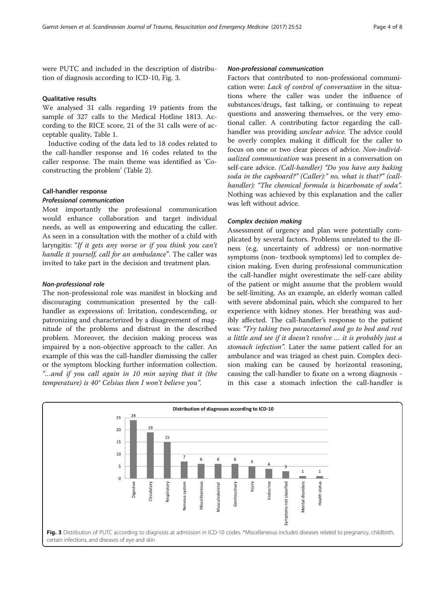were PUTC and included in the description of distribution of diagnosis according to ICD-10, Fig. 3.

# Qualitative results

We analysed 31 calls regarding 19 patients from the sample of 327 calls to the Medical Hotline 1813. According to the RICE score, 21 of the 31 calls were of acceptable quality, Table [1](#page-4-0).

Inductive coding of the data led to 18 codes related to the call-handler response and 16 codes related to the caller response. The main theme was identified as 'Coconstructing the problem' (Table [2\)](#page-5-0).

# Call-handler response

#### Professional communication

Most importantly the professional communication would enhance collaboration and target individual needs, as well as empowering and educating the caller. As seen in a consultation with the mother of a child with laryngitis: "If it gets any worse or if you think you can't handle it yourself, call for an ambulance". The caller was invited to take part in the decision and treatment plan.

#### Non-professional role

The non-professional role was manifest in blocking and discouraging communication presented by the callhandler as expressions of: Irritation, condescending, or patronizing and characterized by a disagreement of magnitude of the problems and distrust in the described problem. Moreover, the decision making process was impaired by a non-objective approach to the caller. An example of this was the call-handler dismissing the caller or the symptom blocking further information collection. "…and if you call again in 10 min saying that it (the temperature) is 40° Celsius then I won't believe you".

### Non-professional communication

Factors that contributed to non-professional communication were: Lack of control of conversation in the situations where the caller was under the influence of substances/drugs, fast talking, or continuing to repeat questions and answering themselves, or the very emotional caller. A contributing factor regarding the callhandler was providing *unclear advice*. The advice could be overly complex making it difficult for the caller to focus on one or two clear pieces of advice. Non-individualized communication was present in a conversation on self-care advice. (Call-handler) "Do you have any baking soda in the cupboard?" (Caller):" no, what is that?" (callhandler): "The chemical formula is bicarbonate of soda". Nothing was achieved by this explanation and the caller was left without advice.

# Complex decision making

Assessment of urgency and plan were potentially complicated by several factors. Problems unrelated to the illness (e.g. uncertainty of address) or non-normative symptoms (non- textbook symptoms) led to complex decision making. Even during professional communication the call-handler might overestimate the self-care ability of the patient or might assume that the problem would be self-limiting. As an example, an elderly woman called with severe abdominal pain, which she compared to her experience with kidney stones. Her breathing was audibly affected. The call-handler's response to the patient was: "Try taking two paracetamol and go to bed and rest a little and see if it doesn't resolve … it is probably just a stomach infection". Later the same patient called for an ambulance and was triaged as chest pain. Complex decision making can be caused by horizontal reasoning, causing the call-handler to fixate on a wrong diagnosis in this case a stomach infection the call-handler is

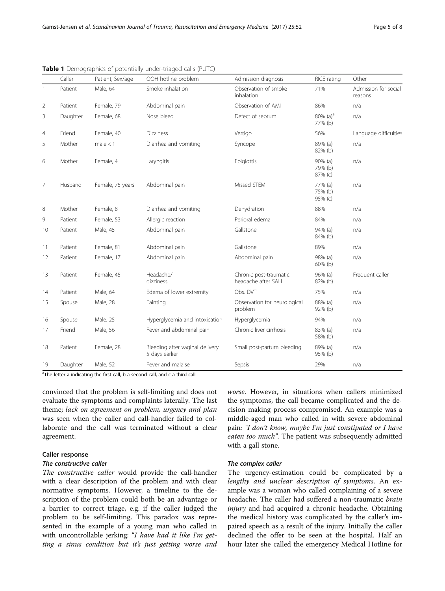| Page 5 of 8 |  |  |
|-------------|--|--|
|             |  |  |

|                | Caller   | Patient, Sex/age | OOH hotline problem                               | Admission diagnosis                          | RICE rating                        | Other                           |
|----------------|----------|------------------|---------------------------------------------------|----------------------------------------------|------------------------------------|---------------------------------|
| $\overline{1}$ | Patient  | Male, 64         | Smoke inhalation                                  | Observation of smoke<br>inhalation           | 71%                                | Admission for social<br>reasons |
| $\overline{2}$ | Patient  | Female, 79       | Abdominal pain                                    | Observation of AMI                           | 86%                                | n/a                             |
| 3              | Daughter | Female, 68       | Nose bleed                                        | Defect of septum                             | $80\%$ (a) <sup>a</sup><br>77% (b) | n/a                             |
| $\overline{4}$ | Friend   | Female, 40       | <b>Dizziness</b>                                  | Vertigo                                      | 56%                                | Language difficulties           |
| 5              | Mother   | male < 1         | Diarrhea and vomiting                             | Syncope                                      | 89% (a)<br>$82\%$ (b)              | n/a                             |
| 6              | Mother   | Female, 4        | Laryngitis                                        | Epiglottis                                   | $90\%$ (a)<br>79% (b)<br>87% (c)   | n/a                             |
| 7              | Husband  | Female, 75 years | Abdominal pain                                    | Missed STEMI                                 | 77% (a)<br>75% (b)<br>95% (c)      | n/a                             |
| 8              | Mother   | Female, 8        | Diarrhea and vomiting                             | Dehydration                                  | 88%                                | n/a                             |
| 9              | Patient  | Female, 53       | Allergic reaction                                 | Perioral edema                               | 84%                                | n/a                             |
| 10             | Patient  | Male, 45         | Abdominal pain                                    | Gallstone                                    | $94\%$ (a)<br>84% (b)              | n/a                             |
| 11             | Patient  | Female, 81       | Abdominal pain                                    | Gallstone                                    | 89%                                | n/a                             |
| 12             | Patient  | Female, 17       | Abdominal pain                                    | Abdominal pain                               | 98% (a)<br>$60\%$ (b)              | n/a                             |
| 13             | Patient  | Female, 45       | Headache/<br>dizziness                            | Chronic post-traumatic<br>headache after SAH | $96%$ (a)<br>82% (b)               | Frequent caller                 |
| 14             | Patient  | Male, 64         | Edema of lower extremity                          | Obs. DVT                                     | 75%                                | n/a                             |
| 15             | Spouse   | Male, 28         | Fainting                                          | Observation for neurological<br>problem      | 88% (a)<br>92% (b)                 | n/a                             |
| 16             | Spouse   | Male, 25         | Hyperglycemia and intoxication                    | Hyperglycemia                                | 94%                                | n/a                             |
| 17             | Friend   | Male, 56         | Fever and abdominal pain                          | Chronic liver cirrhosis                      | 83% (a)<br>58% (b)                 | n/a                             |
| 18             | Patient  | Female, 28       | Bleeding after vaginal delivery<br>5 days earlier | Small post-partum bleeding                   | 89% (a)<br>95% (b)                 | n/a                             |
| 19             | Daughter | Male, 52         | Fever and malaise                                 | Sepsis                                       | 29%                                | n/a                             |

<span id="page-4-0"></span>Table 1 Demographics of potentially under-triaged calls (PUTC)

<sup>a</sup>The letter a indicating the first call, b a second call, and c a third call

convinced that the problem is self-limiting and does not evaluate the symptoms and complaints laterally. The last theme; lack on agreement on problem, urgency and plan was seen when the caller and call-handler failed to collaborate and the call was terminated without a clear agreement.

### Caller response

### The constructive caller

The constructive caller would provide the call-handler with a clear description of the problem and with clear normative symptoms. However, a timeline to the description of the problem could both be an advantage or a barrier to correct triage, e.g. if the caller judged the problem to be self-limiting. This paradox was represented in the example of a young man who called in with uncontrollable jerking: "I have had it like I'm getting a sinus condition but it's just getting worse and

worse. However, in situations when callers minimized the symptoms, the call became complicated and the decision making process compromised. An example was a middle-aged man who called in with severe abdominal pain: "I don't know, maybe I'm just constipated or I have eaten too much". The patient was subsequently admitted with a gall stone.

### The complex caller

The urgency-estimation could be complicated by a lengthy and unclear description of symptoms. An example was a woman who called complaining of a severe headache. The caller had suffered a non-traumatic brain injury and had acquired a chronic headache. Obtaining the medical history was complicated by the caller's impaired speech as a result of the injury. Initially the caller declined the offer to be seen at the hospital. Half an hour later she called the emergency Medical Hotline for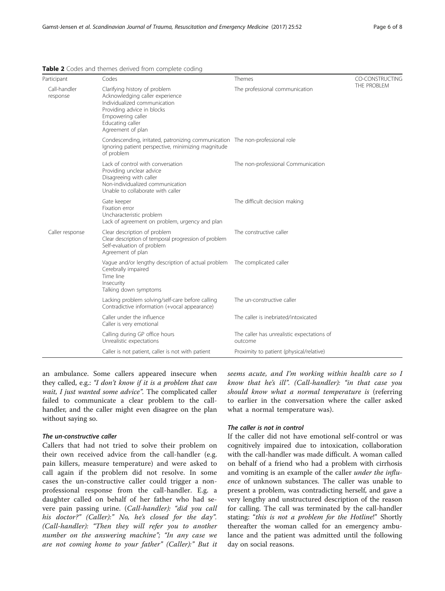| Participant              | Codes                                                                                                                                                                                        | Themes                                                | CO-CONSTRUCTING |  |
|--------------------------|----------------------------------------------------------------------------------------------------------------------------------------------------------------------------------------------|-------------------------------------------------------|-----------------|--|
| Call-handler<br>response | Clarifying history of problem<br>Acknowledging caller experience<br>Individualized communication<br>Providing advice in blocks<br>Empowering caller<br>Educating caller<br>Agreement of plan | The professional communication                        | THE PROBLEM     |  |
|                          | Condescending, irritated, patronizing communication The non-professional role<br>Ignoring patient perspective, minimizing magnitude<br>of problem                                            |                                                       |                 |  |
|                          | Lack of control with conversation<br>Providing unclear advice<br>Disagreeing with caller<br>Non-individualized communication<br>Unable to collaborate with caller                            | The non-professional Communication                    |                 |  |
|                          | Gate keeper<br>Fixation error<br>Uncharacteristic problem<br>Lack of agreement on problem, urgency and plan                                                                                  | The difficult decision making                         |                 |  |
| Caller response          | Clear description of problem<br>Clear description of temporal progression of problem<br>Self-evaluation of problem<br>Agreement of plan                                                      | The constructive caller                               |                 |  |
|                          | Vague and/or lengthy description of actual problem<br>Cerebrally impaired<br>Time line<br>Insecurity<br>Talking down symptoms                                                                | The complicated caller                                |                 |  |
|                          | Lacking problem solving/self-care before calling<br>Contradictive information (+vocal appearance)                                                                                            | The un-constructive caller                            |                 |  |
|                          | Caller under the influence<br>Caller is very emotional                                                                                                                                       | The caller is inebriated/intoxicated                  |                 |  |
|                          | Calling during GP office hours<br>Unrealistic expectations                                                                                                                                   | The caller has unrealistic expectations of<br>outcome |                 |  |
|                          | Caller is not patient, caller is not with patient                                                                                                                                            | Proximity to patient (physical/relative)              |                 |  |

# <span id="page-5-0"></span>Table 2 Codes and themes derived from complete coding

an ambulance. Some callers appeared insecure when they called, e.g.: "I don't know if it is a problem that can wait, I just wanted some advice". The complicated caller failed to communicate a clear problem to the callhandler, and the caller might even disagree on the plan without saying so.

#### The un-constructive caller

Callers that had not tried to solve their problem on their own received advice from the call-handler (e.g. pain killers, measure temperature) and were asked to call again if the problem did not resolve. In some cases the un-constructive caller could trigger a nonprofessional response from the call-handler. E.g. a daughter called on behalf of her father who had severe pain passing urine. (Call-handler): "did you call his doctor?" (Caller):" No, he's closed for the day". (Call-handler): "Then they will refer you to another number on the answering machine"; "In any case we are not coming home to your father" (Caller):" But it seems acute, and I'm working within health care so I know that he's ill". (Call-handler): "in that case you should know what a normal temperature is (referring to earlier in the conversation where the caller asked what a normal temperature was).

## The caller is not in control

If the caller did not have emotional self-control or was cognitively impaired due to intoxication, collaboration with the call-handler was made difficult. A woman called on behalf of a friend who had a problem with cirrhosis and vomiting is an example of the caller under the influence of unknown substances. The caller was unable to present a problem, was contradicting herself, and gave a very lengthy and unstructured description of the reason for calling. The call was terminated by the call-handler stating: "this is not a problem for the Hotline!" Shortly thereafter the woman called for an emergency ambulance and the patient was admitted until the following day on social reasons.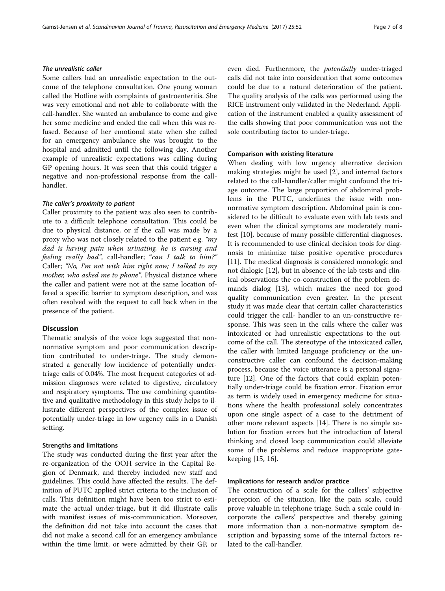# The unrealistic caller

Some callers had an unrealistic expectation to the outcome of the telephone consultation. One young woman called the Hotline with complaints of gastroenteritis. She was very emotional and not able to collaborate with the call-handler. She wanted an ambulance to come and give her some medicine and ended the call when this was refused. Because of her emotional state when she called for an emergency ambulance she was brought to the hospital and admitted until the following day. Another example of unrealistic expectations was calling during GP opening hours. It was seen that this could trigger a negative and non-professional response from the callhandler.

# The caller's proximity to patient

Caller proximity to the patient was also seen to contribute to a difficult telephone consultation. This could be due to physical distance, or if the call was made by a proxy who was not closely related to the patient e.g. "my dad is having pain when urinating, he is cursing and feeling really bad", call-handler; "can I talk to him?" Caller; "No, I'm not with him right now; I talked to my mother, who asked me to phone". Physical distance where the caller and patient were not at the same location offered a specific barrier to symptom description, and was often resolved with the request to call back when in the presence of the patient.

#### **Discussion**

Thematic analysis of the voice logs suggested that nonnormative symptom and poor communication description contributed to under-triage. The study demonstrated a generally low incidence of potentially undertriage calls of 0.04%. The most frequent categories of admission diagnoses were related to digestive, circulatory and respiratory symptoms. The use combining quantitative and qualitative methodology in this study helps to illustrate different perspectives of the complex issue of potentially under-triage in low urgency calls in a Danish setting.

## Strengths and limitations

The study was conducted during the first year after the re-organization of the OOH service in the Capital Region of Denmark, and thereby included new staff and guidelines. This could have affected the results. The definition of PUTC applied strict criteria to the inclusion of calls. This definition might have been too strict to estimate the actual under-triage, but it did illustrate calls with manifest issues of mis-communication. Moreover, the definition did not take into account the cases that did not make a second call for an emergency ambulance within the time limit, or were admitted by their GP, or even died. Furthermore, the potentially under-triaged calls did not take into consideration that some outcomes could be due to a natural deterioration of the patient. The quality analysis of the calls was performed using the RICE instrument only validated in the Nederland. Application of the instrument enabled a quality assessment of the calls showing that poor communication was not the sole contributing factor to under-triage.

# Comparison with existing literature

When dealing with low urgency alternative decision making strategies might be used [\[2](#page-7-0)], and internal factors related to the call-handler/caller might confound the triage outcome. The large proportion of abdominal problems in the PUTC, underlines the issue with nonnormative symptom description. Abdominal pain is considered to be difficult to evaluate even with lab tests and even when the clinical symptoms are moderately manifest [\[10\]](#page-7-0), because of many possible differential diagnoses. It is recommended to use clinical decision tools for diagnosis to minimize false positive operative procedures [[11\]](#page-7-0). The medical diagnosis is considered monologic and not dialogic [[12\]](#page-7-0), but in absence of the lab tests and clinical observations the co-construction of the problem demands dialog [[13\]](#page-7-0), which makes the need for good quality communication even greater. In the present study it was made clear that certain caller characteristics could trigger the call- handler to an un-constructive response. This was seen in the calls where the caller was intoxicated or had unrealistic expectations to the outcome of the call. The stereotype of the intoxicated caller, the caller with limited language proficiency or the unconstructive caller can confound the decision-making process, because the voice utterance is a personal signature [[12\]](#page-7-0). One of the factors that could explain potentially under-triage could be fixation error. Fixation error as term is widely used in emergency medicine for situations where the health professional solely concentrates upon one single aspect of a case to the detriment of other more relevant aspects [\[14](#page-7-0)]. There is no simple solution for fixation errors but the introduction of lateral thinking and closed loop communication could alleviate some of the problems and reduce inappropriate gatekeeping [\[15](#page-7-0), [16](#page-7-0)].

### Implications for research and/or practice

The construction of a scale for the callers' subjective perception of the situation, like the pain scale, could prove valuable in telephone triage. Such a scale could incorporate the callers' perspective and thereby gaining more information than a non-normative symptom description and bypassing some of the internal factors related to the call-handler.